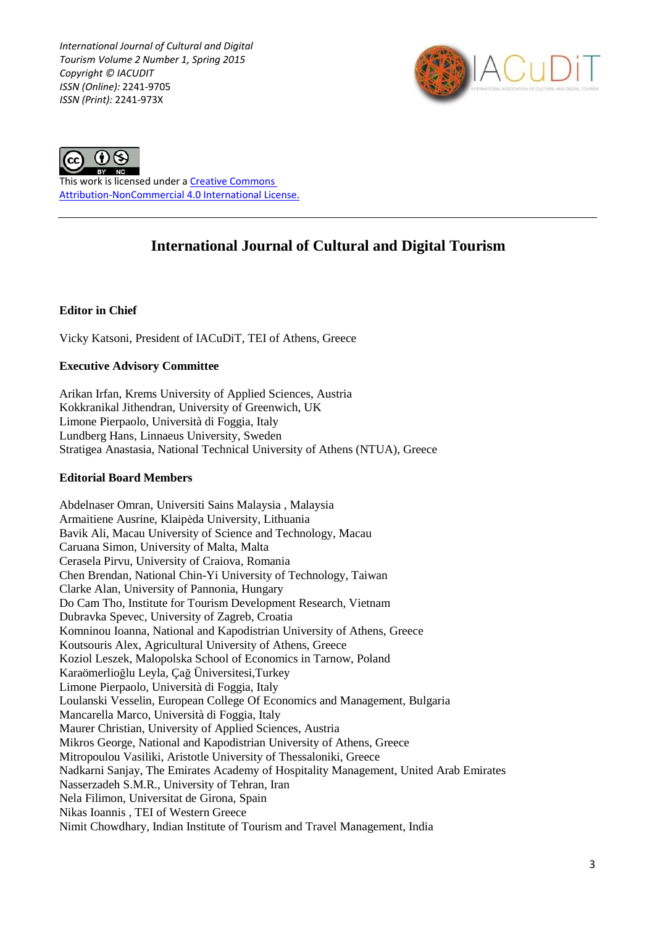*International Journal of Cultural and Digital Tourism Volume 2 Number 1, Spring 2015 Copyright © IACUDIT ISSN (Online):* 2241-9705 *ISSN (Print):* 2241-973X





This work is licensed under a [Creative Commons](http://creativecommons.org/licenses/by-nc/4.0/)  [Attribution-NonCommercial 4.0 International License.](http://creativecommons.org/licenses/by-nc/4.0/)

# **International Journal of Cultural and Digital Tourism**

## **Editor in Chief**

Vicky Katsoni, President of IACuDiT, TEI of Athens, Greece

## **Executive Advisory Committee**

Arikan Irfan, Krems University of Applied Sciences, Austria Kokkranikal Jithendran, University of Greenwich, UK Limone Pierpaolo, Università di Foggia, Italy Lundberg Hans, Linnaeus University, Sweden Stratigea Anastasia, National Technical University of Athens (NTUA), Greece

### **Editorial Board Members**

Abdelnaser Omran, Universiti Sains Malaysia , Malaysia Armaitiene Ausrine, Klaipėda University, Lithuania Bavik Ali, Macau University of Science and Technology, Macau Caruana Simon, University of Malta, Malta Cerasela Pirvu, University of Craiova, Romania Chen Brendan, National Chin-Yi University of Technology, Taiwan Clarke Alan, University of Pannonia, Hungary Do Cam Tho, Institute for Tourism Development Research, Vietnam Dubravka Spevec, University of Zagreb, Croatia Komninou Ioanna, National and Kapodistrian University of Athens, Greece Koutsouris Alex, Agricultural University of Athens, Greece Koziol Leszek, Malopolska School of Economics in Tarnow, Poland Karaömerlioğlu Leyla, Çağ Üniversitesi,Turkey Limone Pierpaolo, Università di Foggia, Italy Loulanski Vesselin, European College Of Economics and Management, Bulgaria Mancarella Marco, Università di Foggia, Italy Maurer Christian, University of Applied Sciences, Austria Mikros George, National and Kapodistrian University of Athens, Greece Mitropoulou Vasiliki, Aristotle University of Thessaloniki, Greece Nadkarni Sanjay, The Emirates Academy of Hospitality Management, United Arab Emirates Nasserzadeh S.M.R., University of Tehran, Iran Nela Filimon, Universitat de Girona, Spain Nikas Ioannis , TEI of Western Greece Nimit Chowdhary, Indian Institute of Tourism and Travel Management, India